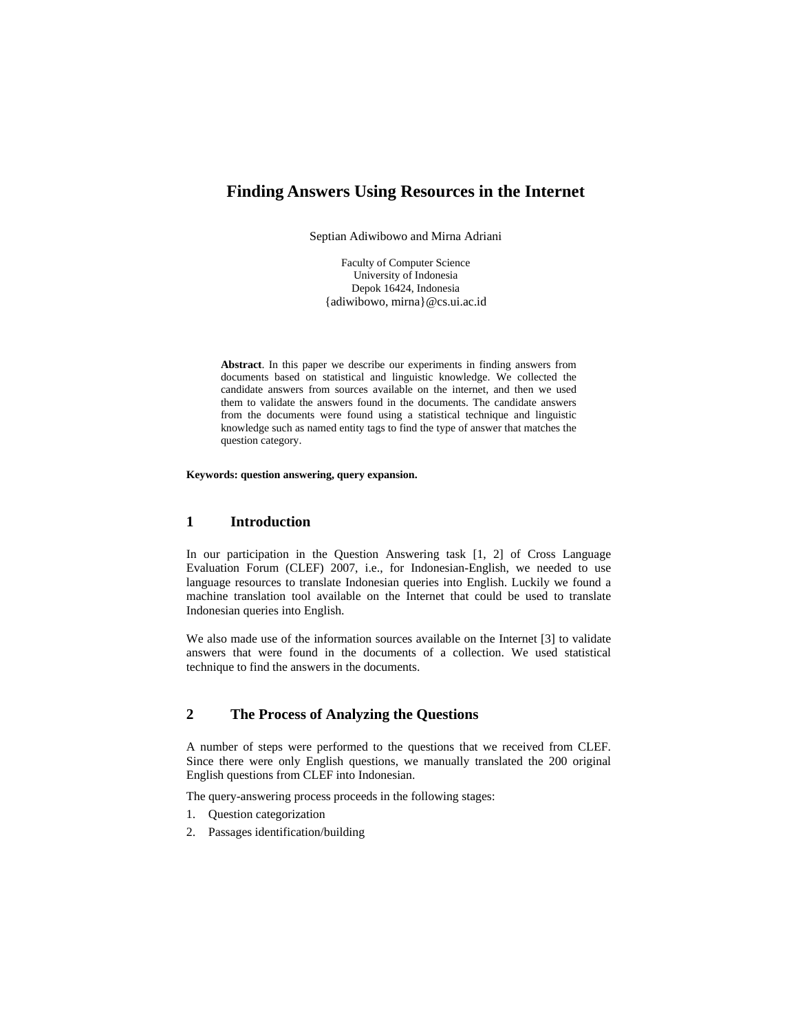# **Finding Answers Using Resources in the Internet**

Septian Adiwibowo and Mirna Adriani

Faculty of Computer Science University of Indonesia Depok 16424, Indonesia {adiwibowo, mirna}@cs.ui.ac.id

**Abstract**. In this paper we describe our experiments in finding answers from documents based on statistical and linguistic knowledge. We collected the candidate answers from sources available on the internet, and then we used them to validate the answers found in the documents. The candidate answers from the documents were found using a statistical technique and linguistic knowledge such as named entity tags to find the type of answer that matches the question category.

**Keywords: question answering, query expansion.** 

### **1 Introduction**

In our participation in the Question Answering task [1, 2] of Cross Language Evaluation Forum (CLEF) 2007, i.e., for Indonesian-English, we needed to use language resources to translate Indonesian queries into English. Luckily we found a machine translation tool available on the Internet that could be used to translate Indonesian queries into English.

We also made use of the information sources available on the Internet [3] to validate answers that were found in the documents of a collection. We used statistical technique to find the answers in the documents.

### **2 The Process of Analyzing the Questions**

A number of steps were performed to the questions that we received from CLEF. Since there were only English questions, we manually translated the 200 original English questions from CLEF into Indonesian.

The query-answering process proceeds in the following stages:

- 1. Question categorization
- 2. Passages identification/building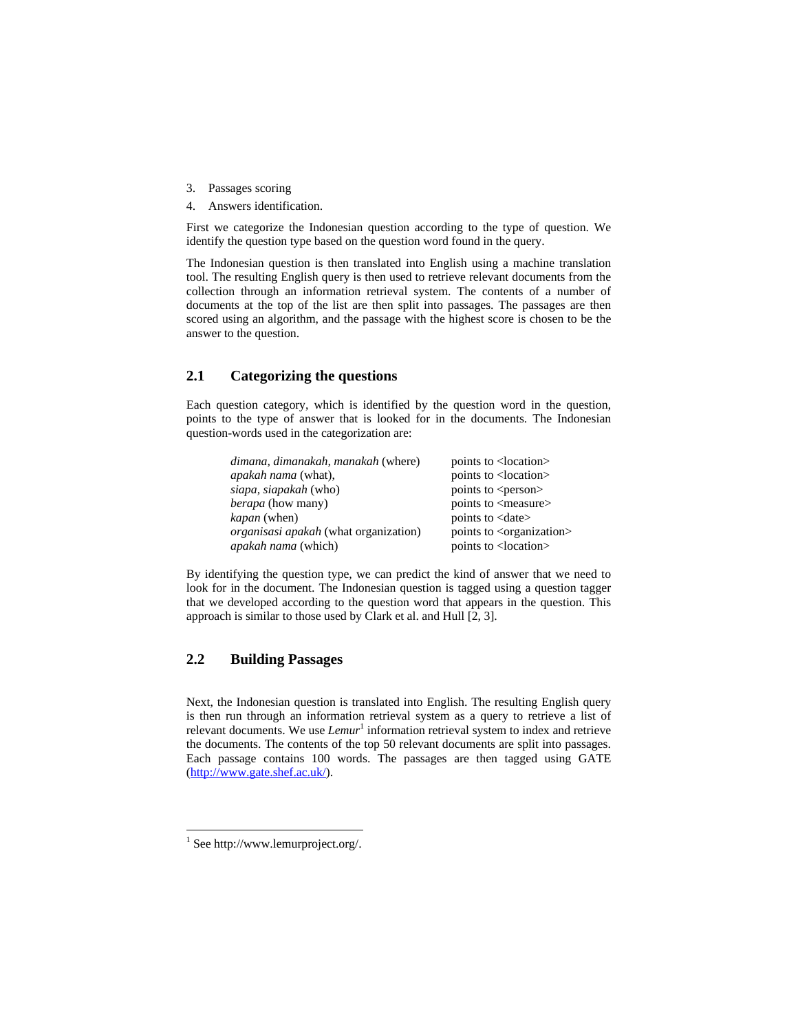- 3. Passages scoring
- 4. Answers identification.

First we categorize the Indonesian question according to the type of question. We identify the question type based on the question word found in the query.

The Indonesian question is then translated into English using a machine translation tool. The resulting English query is then used to retrieve relevant documents from the collection through an information retrieval system. The contents of a number of documents at the top of the list are then split into passages. The passages are then scored using an algorithm, and the passage with the highest score is chosen to be the answer to the question.

#### **2.1 Categorizing the questions**

Each question category, which is identified by the question word in the question, points to the type of answer that is looked for in the documents. The Indonesian question-words used in the categorization are:

| dimana, dimanakah, manakah (where)           | points to <location></location>         |
|----------------------------------------------|-----------------------------------------|
| <i>apakah nama</i> (what),                   | points to <location></location>         |
| siapa, siapakah (who)                        | points to <person></person>             |
| <i>berapa</i> (how many)                     | points to <measure></measure>           |
| <i>kapan</i> (when)                          | points to <date></date>                 |
| <i>organisasi apakah</i> (what organization) | points to <organization></organization> |
| <i>apakah nama</i> (which)                   | points to <location></location>         |

By identifying the question type, we can predict the kind of answer that we need to look for in the document. The Indonesian question is tagged using a question tagger that we developed according to the question word that appears in the question. This approach is similar to those used by Clark et al. and Hull [2, 3].

### **2.2 Building Passages**

Next, the Indonesian question is translated into English. The resulting English query is then run through an information retrieval system as a query to retrieve a list of relevant documents. We use *Lemur*<sup>1</sup> information retrieval system to index and retrieve the documents. The contents of the top 50 relevant documents are split into passages. Each passage contains 100 words. The passages are then tagged using GATE (http://www.gate.shef.ac.uk/).

l

 $1$  See http://www.lemurproject.org/.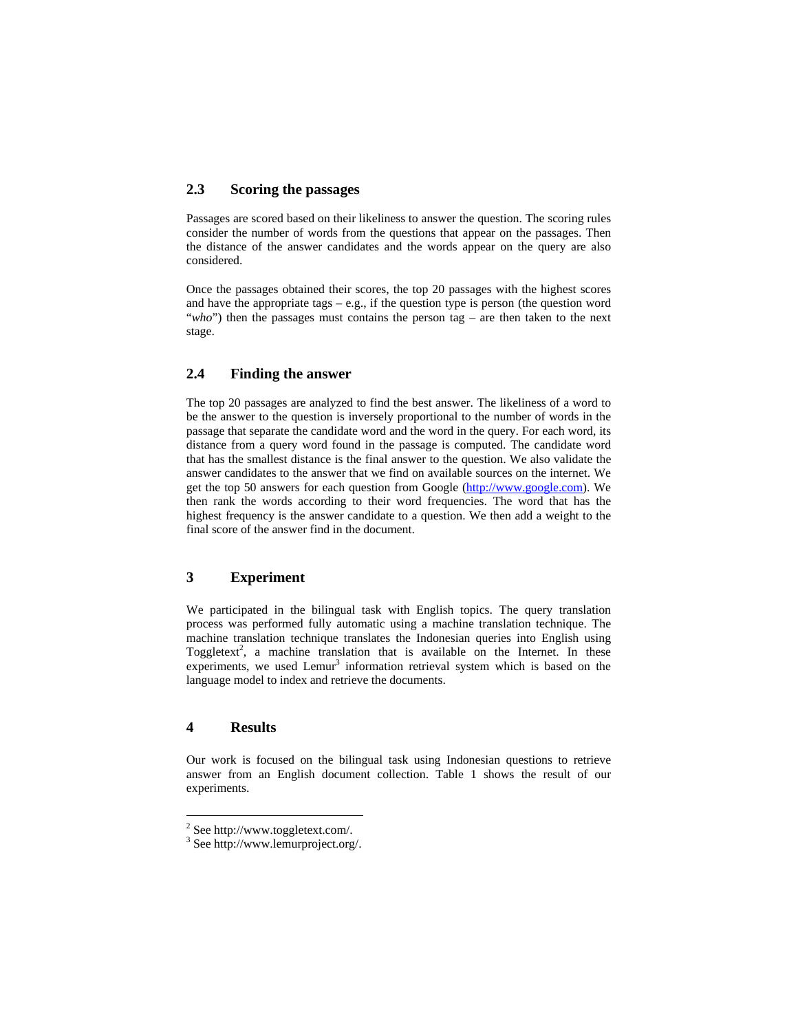#### **2.3 Scoring the passages**

Passages are scored based on their likeliness to answer the question. The scoring rules consider the number of words from the questions that appear on the passages. Then the distance of the answer candidates and the words appear on the query are also considered.

Once the passages obtained their scores, the top 20 passages with the highest scores and have the appropriate tags  $-$  e.g., if the question type is person (the question word "*who*") then the passages must contains the person tag – are then taken to the next stage.

### **2.4 Finding the answer**

The top 20 passages are analyzed to find the best answer. The likeliness of a word to be the answer to the question is inversely proportional to the number of words in the passage that separate the candidate word and the word in the query. For each word, its distance from a query word found in the passage is computed. The candidate word that has the smallest distance is the final answer to the question. We also validate the answer candidates to the answer that we find on available sources on the internet. We get the top 50 answers for each question from Google (http://www.google.com). We then rank the words according to their word frequencies. The word that has the highest frequency is the answer candidate to a question. We then add a weight to the final score of the answer find in the document.

# **3 Experiment**

We participated in the bilingual task with English topics. The query translation process was performed fully automatic using a machine translation technique. The machine translation technique translates the Indonesian queries into English using Toggletext<sup>2</sup>, a machine translation that is available on the Internet. In these experiments, we used Lemur<sup>3</sup> information retrieval system which is based on the language model to index and retrieve the documents.

### **4 Results**

l

Our work is focused on the bilingual task using Indonesian questions to retrieve answer from an English document collection. Table 1 shows the result of our experiments.

<sup>&</sup>lt;sup>2</sup> See http://www.toggletext.com/.

<sup>3</sup> See http://www.lemurproject.org/.